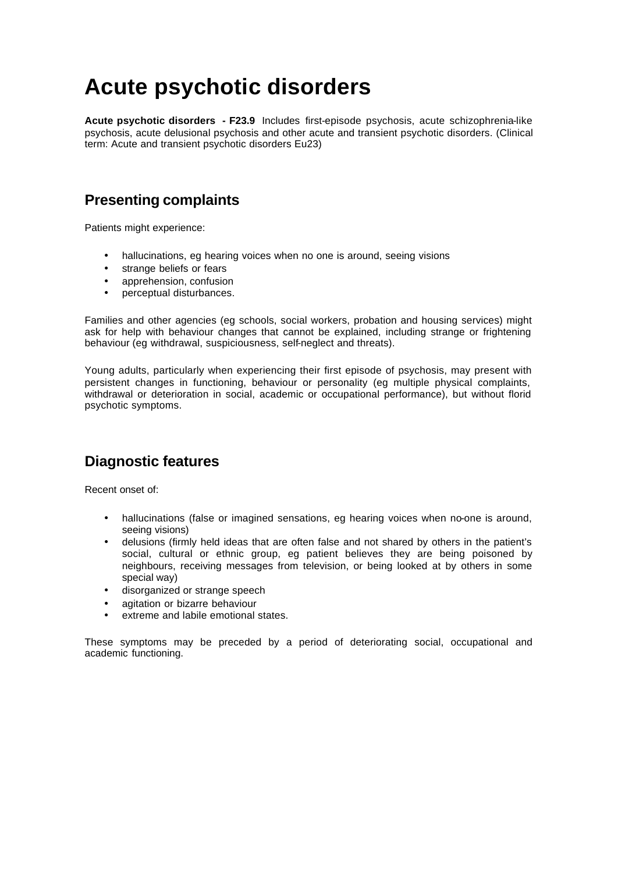# **Acute psychotic disorders**

**Acute psychotic disorders - F23.9** Includes first-episode psychosis, acute schizophrenia-like psychosis, acute delusional psychosis and other acute and transient psychotic disorders. (Clinical term: Acute and transient psychotic disorders Eu23)

### **Presenting complaints**

Patients might experience:

- hallucinations, eg hearing voices when no one is around, seeing visions
- strange beliefs or fears
- apprehension, confusion
- perceptual disturbances.

Families and other agencies (eg schools, social workers, probation and housing services) might ask for help with behaviour changes that cannot be explained, including strange or frightening behaviour (eg withdrawal, suspiciousness, self-neglect and threats).

Young adults, particularly when experiencing their first episode of psychosis, may present with persistent changes in functioning, behaviour or personality (eg multiple physical complaints, withdrawal or deterioration in social, academic or occupational performance), but without florid psychotic symptoms.

### **Diagnostic features**

Recent onset of:

- hallucinations (false or imagined sensations, eg hearing voices when no-one is around, seeing visions)
- delusions (firmly held ideas that are often false and not shared by others in the patient's social, cultural or ethnic group, eg patient believes they are being poisoned by neighbours, receiving messages from television, or being looked at by others in some special way)
- disorganized or strange speech
- agitation or bizarre behaviour
- extreme and labile emotional states.

These symptoms may be preceded by a period of deteriorating social, occupational and academic functioning.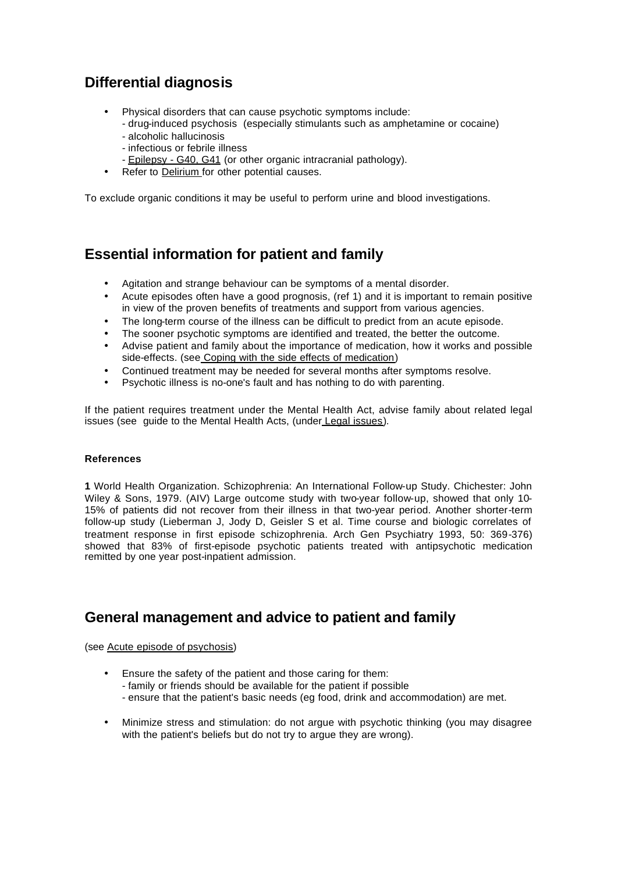## **Differential diagnosis**

- Physical disorders that can cause psychotic symptoms include:
	- drug-induced psychosis (especially stimulants such as amphetamine or cocaine)
	- alcoholic hallucinosis
	- infectious or febrile illness
	- Epilepsy G40, G41 (or other organic intracranial pathology).
- Refer to Delirium for other potential causes.

To exclude organic conditions it may be useful to perform urine and blood investigations.

### **Essential information for patient and family**

- Agitation and strange behaviour can be symptoms of a mental disorder.
- Acute episodes often have a good prognosis, (ref 1) and it is important to remain positive in view of the proven benefits of treatments and support from various agencies.
- The long-term course of the illness can be difficult to predict from an acute episode.
- The sooner psychotic symptoms are identified and treated, the better the outcome.
- Advise patient and family about the importance of medication, how it works and possible side-effects. (see Coping with the side effects of medication)
- Continued treatment may be needed for several months after symptoms resolve.
- Psychotic illness is no-one's fault and has nothing to do with parenting.

If the patient requires treatment under the Mental Health Act, advise family about related legal issues (see guide to the Mental Health Acts, (under Legal issues).

#### **References**

**1** World Health Organization. Schizophrenia: An International Follow-up Study. Chichester: John Wiley & Sons, 1979. (AIV) Large outcome study with two-year follow-up, showed that only 10- 15% of patients did not recover from their illness in that two-year period. Another shorter-term follow-up study (Lieberman J, Jody D, Geisler S et al. Time course and biologic correlates of treatment response in first episode schizophrenia. Arch Gen Psychiatry 1993, 50: 369-376) showed that 83% of first-episode psychotic patients treated with antipsychotic medication remitted by one year post-inpatient admission.

### **General management and advice to patient and family**

(see Acute episode of psychosis)

- Ensure the safety of the patient and those caring for them: - family or friends should be available for the patient if possible - ensure that the patient's basic needs (eg food, drink and accommodation) are met.
- Minimize stress and stimulation: do not argue with psychotic thinking (you may disagree with the patient's beliefs but do not try to argue they are wrong).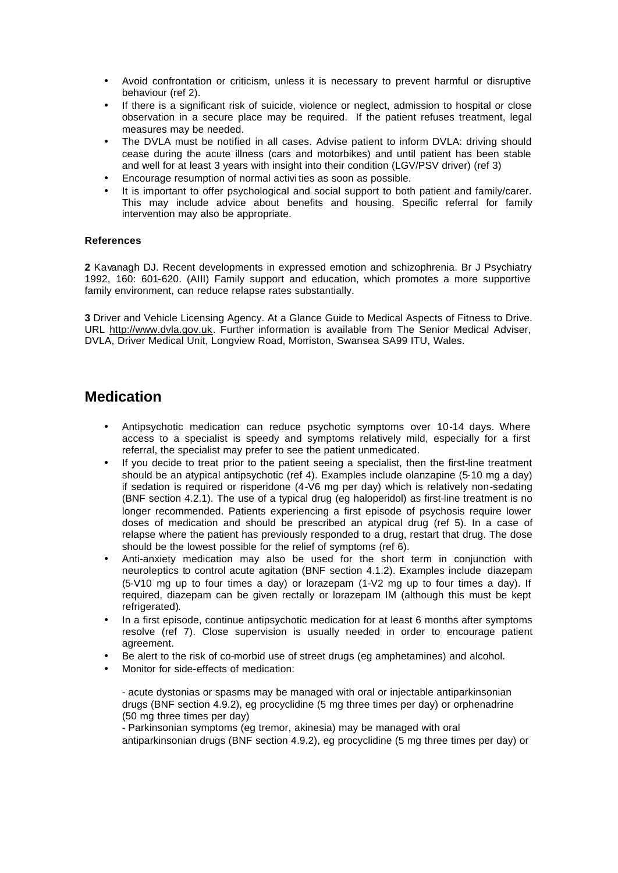- Avoid confrontation or criticism, unless it is necessary to prevent harmful or disruptive behaviour (ref 2).
- If there is a significant risk of suicide, violence or neglect, admission to hospital or close observation in a secure place may be required. If the patient refuses treatment, legal measures may be needed.
- The DVLA must be notified in all cases. Advise patient to inform DVLA: driving should cease during the acute illness (cars and motorbikes) and until patient has been stable and well for at least 3 years with insight into their condition (LGV/PSV driver) (ref 3)
- Encourage resumption of normal activi ties as soon as possible.
- It is important to offer psychological and social support to both patient and family/carer. This may include advice about benefits and housing. Specific referral for family intervention may also be appropriate.

#### **References**

**2** Kavanagh DJ. Recent developments in expressed emotion and schizophrenia. Br J Psychiatry 1992, 160: 601-620. (AIII) Family support and education, which promotes a more supportive family environment, can reduce relapse rates substantially.

**3** Driver and Vehicle Licensing Agency. At a Glance Guide to Medical Aspects of Fitness to Drive. URL http://www.dvla.gov.uk. Further information is available from The Senior Medical Adviser, DVLA, Driver Medical Unit, Longview Road, Morriston, Swansea SA99 ITU, Wales.

### **Medication**

- Antipsychotic medication can reduce psychotic symptoms over 10-14 days. Where access to a specialist is speedy and symptoms relatively mild, especially for a first referral, the specialist may prefer to see the patient unmedicated.
- If you decide to treat prior to the patient seeing a specialist, then the first-line treatment should be an atypical antipsychotic (ref 4). Examples include olanzapine (5-10 mg a day) if sedation is required or risperidone (4-V6 mg per day) which is relatively non-sedating (BNF section 4.2.1). The use of a typical drug (eg haloperidol) as first-line treatment is no longer recommended. Patients experiencing a first episode of psychosis require lower doses of medication and should be prescribed an atypical drug (ref 5). In a case of relapse where the patient has previously responded to a drug, restart that drug. The dose should be the lowest possible for the relief of symptoms (ref 6).
- Anti-anxiety medication may also be used for the short term in conjunction with neuroleptics to control acute agitation (BNF section 4.1.2). Examples include diazepam (5-V10 mg up to four times a day) or lorazepam (1-V2 mg up to four times a day). If required, diazepam can be given rectally or lorazepam IM (although this must be kept refrigerated).
- In a first episode, continue antipsychotic medication for at least 6 months after symptoms resolve (ref 7). Close supervision is usually needed in order to encourage patient agreement.
- Be alert to the risk of co-morbid use of street drugs (eg amphetamines) and alcohol.
- Monitor for side-effects of medication:

- acute dystonias or spasms may be managed with oral or injectable antiparkinsonian drugs (BNF section 4.9.2), eg procyclidine (5 mg three times per day) or orphenadrine (50 mg three times per day)

- Parkinsonian symptoms (eg tremor, akinesia) may be managed with oral antiparkinsonian drugs (BNF section 4.9.2), eg procyclidine (5 mg three times per day) or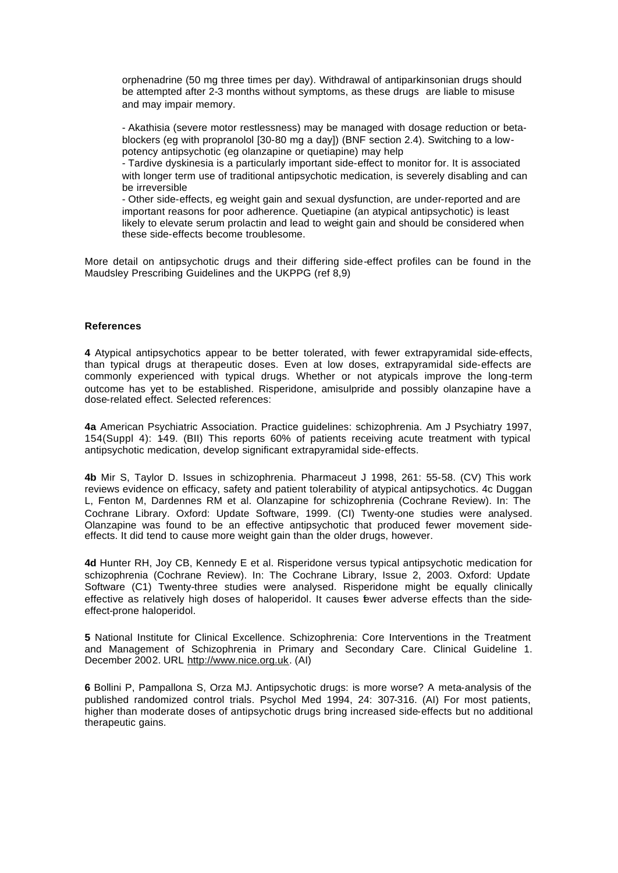orphenadrine (50 mg three times per day). Withdrawal of antiparkinsonian drugs should be attempted after 2-3 months without symptoms, as these drugs are liable to misuse and may impair memory.

- Akathisia (severe motor restlessness) may be managed with dosage reduction or betablockers (eg with propranolol [30-80 mg a day]) (BNF section 2.4). Switching to a lowpotency antipsychotic (eg olanzapine or quetiapine) may help

- Tardive dyskinesia is a particularly important side-effect to monitor for. It is associated with longer term use of traditional antipsychotic medication, is severely disabling and can be irreversible

- Other side-effects, eg weight gain and sexual dysfunction, are under-reported and are important reasons for poor adherence. Quetiapine (an atypical antipsychotic) is least likely to elevate serum prolactin and lead to weight gain and should be considered when these side-effects become troublesome.

More detail on antipsychotic drugs and their differing side-effect profiles can be found in the Maudsley Prescribing Guidelines and the UKPPG (ref 8,9)

#### **References**

**4** Atypical antipsychotics appear to be better tolerated, with fewer extrapyramidal side-effects, than typical drugs at therapeutic doses. Even at low doses, extrapyramidal side-effects are commonly experienced with typical drugs. Whether or not atypicals improve the long-term outcome has yet to be established. Risperidone, amisulpride and possibly olanzapine have a dose-related effect. Selected references:

**4a** American Psychiatric Association. Practice guidelines: schizophrenia. Am J Psychiatry 1997, 154(Suppl 4): 1-49. (BII) This reports 60% of patients receiving acute treatment with typical antipsychotic medication, develop significant extrapyramidal side-effects.

**4b** Mir S, Taylor D. Issues in schizophrenia. Pharmaceut J 1998, 261: 55-58. (CV) This work reviews evidence on efficacy, safety and patient tolerability of atypical antipsychotics. 4c Duggan L, Fenton M, Dardennes RM et al. Olanzapine for schizophrenia (Cochrane Review). In: The Cochrane Library. Oxford: Update Software, 1999. (CI) Twenty-one studies were analysed. Olanzapine was found to be an effective antipsychotic that produced fewer movement sideeffects. It did tend to cause more weight gain than the older drugs, however.

**4d** Hunter RH, Joy CB, Kennedy E et al. Risperidone versus typical antipsychotic medication for schizophrenia (Cochrane Review). In: The Cochrane Library, Issue 2, 2003. Oxford: Update Software (C1) Twenty-three studies were analysed. Risperidone might be equally clinically effective as relatively high doses of haloperidol. It causes tewer adverse effects than the sideeffect-prone haloperidol.

**5** National Institute for Clinical Excellence. Schizophrenia: Core Interventions in the Treatment and Management of Schizophrenia in Primary and Secondary Care. Clinical Guideline 1. December 2002. URL http://www.nice.org.uk. (AI)

**6** Bollini P, Pampallona S, Orza MJ. Antipsychotic drugs: is more worse? A meta-analysis of the published randomized control trials. Psychol Med 1994, 24: 307-316. (AI) For most patients, higher than moderate doses of antipsychotic drugs bring increased side-effects but no additional therapeutic gains.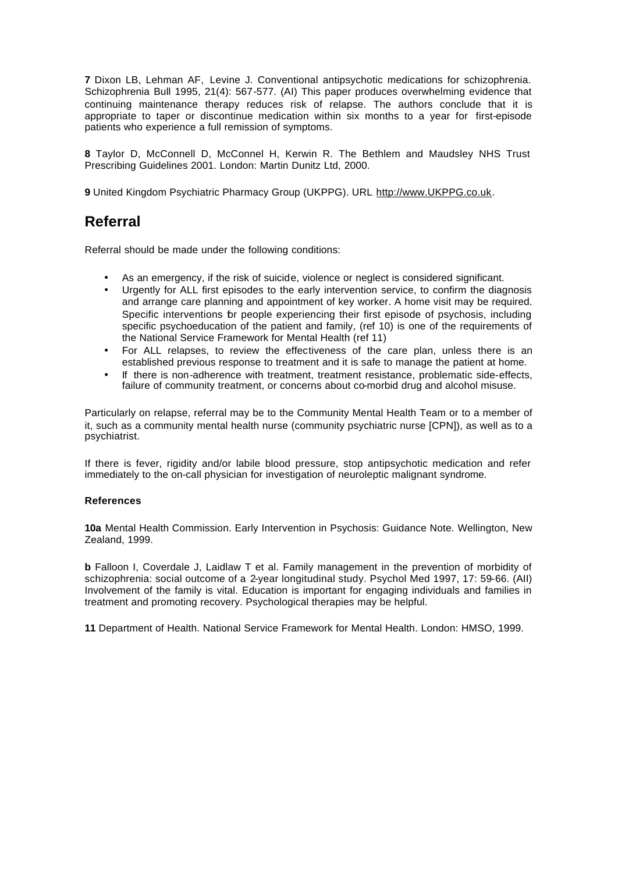**7** Dixon LB, Lehman AF, Levine J. Conventional antipsychotic medications for schizophrenia. Schizophrenia Bull 1995, 21(4): 567-577. (AI) This paper produces overwhelming evidence that continuing maintenance therapy reduces risk of relapse. The authors conclude that it is appropriate to taper or discontinue medication within six months to a year for first-episode patients who experience a full remission of symptoms.

**8** Taylor D, McConnell D, McConnel H, Kerwin R. The Bethlem and Maudsley NHS Trust Prescribing Guidelines 2001. London: Martin Dunitz Ltd, 2000.

**9** United Kingdom Psychiatric Pharmacy Group (UKPPG). URL http://www.UKPPG.co.uk.

## **Referral**

Referral should be made under the following conditions:

- As an emergency, if the risk of suicide, violence or neglect is considered significant.
- Urgently for ALL first episodes to the early intervention service, to confirm the diagnosis and arrange care planning and appointment of key worker. A home visit may be required. Specific interventions for people experiencing their first episode of psychosis, including specific psychoeducation of the patient and family, (ref 10) is one of the requirements of the National Service Framework for Mental Health (ref 11)
- For ALL relapses, to review the effectiveness of the care plan, unless there is an established previous response to treatment and it is safe to manage the patient at home.
- If there is non-adherence with treatment, treatment resistance, problematic side-effects, failure of community treatment, or concerns about co-morbid drug and alcohol misuse.

Particularly on relapse, referral may be to the Community Mental Health Team or to a member of it, such as a community mental health nurse (community psychiatric nurse [CPN]), as well as to a psychiatrist.

If there is fever, rigidity and/or labile blood pressure, stop antipsychotic medication and refer immediately to the on-call physician for investigation of neuroleptic malignant syndrome.

#### **References**

**10a** Mental Health Commission. Early Intervention in Psychosis: Guidance Note. Wellington, New Zealand, 1999.

**b** Falloon I, Coverdale J, Laidlaw T et al. Family management in the prevention of morbidity of schizophrenia: social outcome of a 2-year longitudinal study. Psychol Med 1997, 17: 59-66. (AII) Involvement of the family is vital. Education is important for engaging individuals and families in treatment and promoting recovery. Psychological therapies may be helpful.

**11** Department of Health. National Service Framework for Mental Health. London: HMSO, 1999.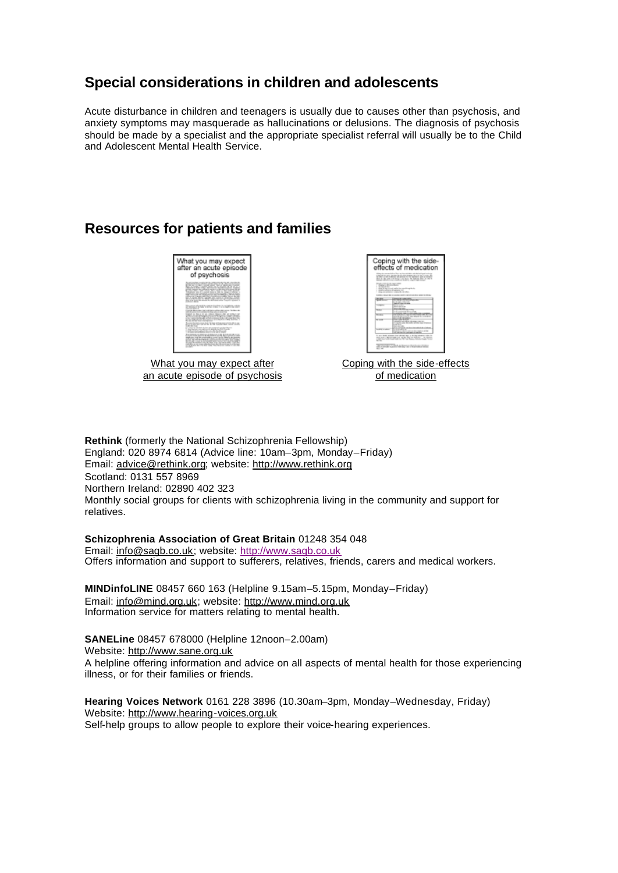### **Special considerations in children and adolescents**

Acute disturbance in children and teenagers is usually due to causes other than psychosis, and anxiety symptoms may masquerade as hallucinations or delusions. The diagnosis of psychosis should be made by a specialist and the appropriate specialist referral will usually be to the Child and Adolescent Mental Health Service.

### **Resources for patients and families**



What you may expect after an acute episode of psychosis

| Coping with the side-<br>effects of medication<br>an an interesting and the contract of<br>-----<br>-<br>a manager and the process of the state with the control of the state of |                                                                                                                                                                                                                       |
|----------------------------------------------------------------------------------------------------------------------------------------------------------------------------------|-----------------------------------------------------------------------------------------------------------------------------------------------------------------------------------------------------------------------|
|                                                                                                                                                                                  | the first or only buildings of street \$ 2.75 percent stars around<br><b>BAN BURLINGS CHAN IN MISSION PROFILE</b>                                                                                                     |
| <b><i>TALLY BILLY BELLY</i></b><br>1. All contracts the chara-                                                                                                                   |                                                                                                                                                                                                                       |
| specific publication of the money and                                                                                                                                            | a compared that it could need to the council is easily in the                                                                                                                                                         |
|                                                                                                                                                                                  |                                                                                                                                                                                                                       |
|                                                                                                                                                                                  | termine and services the de-<br><b>Contract color colorado</b>                                                                                                                                                        |
|                                                                                                                                                                                  | <b>CONTRACTOR</b><br><b>Service Advise Ave</b>                                                                                                                                                                        |
|                                                                                                                                                                                  | <b>Color of Many</b><br>the advanced and start of the analysis                                                                                                                                                        |
|                                                                                                                                                                                  |                                                                                                                                                                                                                       |
|                                                                                                                                                                                  | president controllers in the relationship of the Con-<br>a cause was for come anticipe cause of<br><b>Carl Store</b><br>the property states                                                                           |
|                                                                                                                                                                                  | <b>Brown carried all com is</b><br><b>CONTRACTOR</b><br><b>Scaled All College Avenue</b>                                                                                                                              |
|                                                                                                                                                                                  | To any design streamer chart referrals deals on the data reference entirely<br>send with a resourcement cost and by the two definitions. He concerns<br>come between the problems the first basic and the result from |

Coping with the side-effects of medication

**Rethink** (formerly the National Schizophrenia Fellowship) England: 020 8974 6814 (Advice line: 10am–3pm, Monday–Friday) Email: advice@rethink.org; website: http://www.rethink.org Scotland: 0131 557 8969 Northern Ireland: 02890 402 323 Monthly social groups for clients with schizophrenia living in the community and support for relatives.

#### **Schizophrenia Association of Great Britain** 01248 354 048

Email: info@sagb.co.uk; website: http://www.sagb.co.uk Offers information and support to sufferers, relatives, friends, carers and medical workers.

**MINDinfoLINE** 08457 660 163 (Helpline 9.15am–5.15pm, Monday–Friday) Email: info@mind.org.uk; website: http://www.mind.org.uk Information service for matters relating to mental health.

**SANELine** 08457 678000 (Helpline 12noon–2.00am) Website: http://www.sane.org.uk

A helpline offering information and advice on all aspects of mental health for those experiencing illness, or for their families or friends.

**Hearing Voices Network** 0161 228 3896 (10.30am–3pm, Monday–Wednesday, Friday) Website: http://www.hearing-voices.org.uk Self-help groups to allow people to explore their voice-hearing experiences.